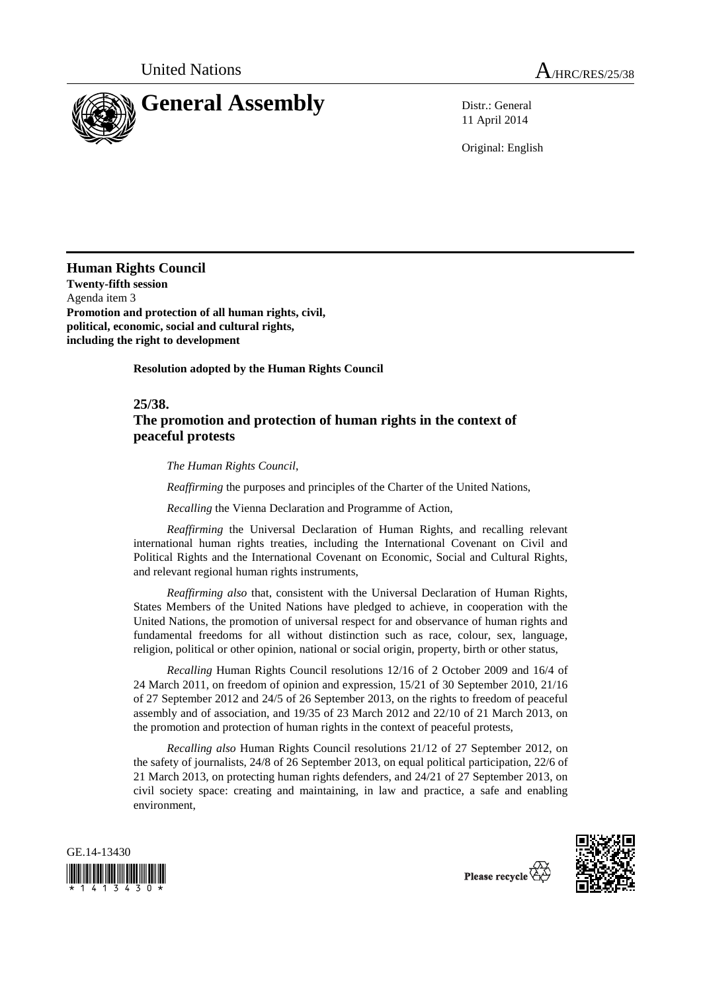

11 April 2014

Original: English

**Human Rights Council Twenty-fifth session**  Agenda item 3 **Promotion and protection of all human rights, civil, political, economic, social and cultural rights, including the right to development** 

 **Resolution adopted by the Human Rights Council** 

**25/38.** 

## **The promotion and protection of human rights in the context of peaceful protests**

 *The Human Rights Council*,

*Reaffirming* the purposes and principles of the Charter of the United Nations,

*Recalling* the Vienna Declaration and Programme of Action,

*Reaffirming* the Universal Declaration of Human Rights, and recalling relevant international human rights treaties, including the International Covenant on Civil and Political Rights and the International Covenant on Economic, Social and Cultural Rights, and relevant regional human rights instruments,

*Reaffirming also* that, consistent with the Universal Declaration of Human Rights, States Members of the United Nations have pledged to achieve, in cooperation with the United Nations, the promotion of universal respect for and observance of human rights and fundamental freedoms for all without distinction such as race, colour, sex, language, religion, political or other opinion, national or social origin, property, birth or other status,

*Recalling* Human Rights Council resolutions 12/16 of 2 October 2009 and 16/4 of 24 March 2011, on freedom of opinion and expression, 15/21 of 30 September 2010, 21/16 of 27 September 2012 and 24/5 of 26 September 2013, on the rights to freedom of peaceful assembly and of association, and 19/35 of 23 March 2012 and 22/10 of 21 March 2013, on the promotion and protection of human rights in the context of peaceful protests,

*Recalling also* Human Rights Council resolutions 21/12 of 27 September 2012, on the safety of journalists, 24/8 of 26 September 2013, on equal political participation, 22/6 of 21 March 2013, on protecting human rights defenders, and 24/21 of 27 September 2013, on civil society space: creating and maintaining, in law and practice, a safe and enabling environment,





Please recycle  $\vec{\mathbf{\nabla}}$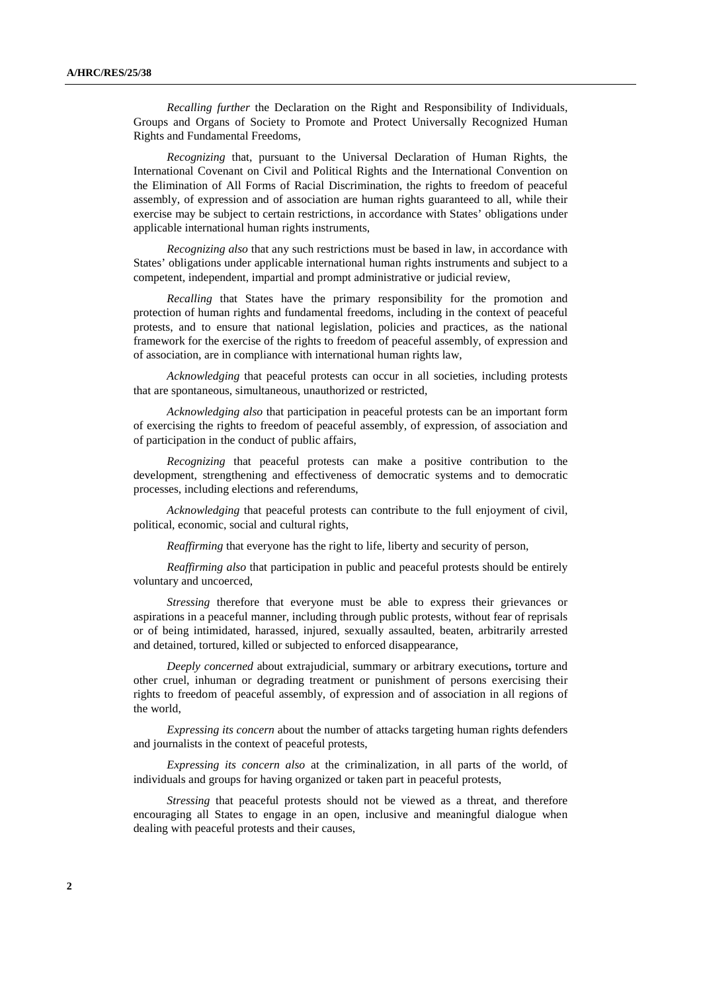*Recalling further* the Declaration on the Right and Responsibility of Individuals, Groups and Organs of Society to Promote and Protect Universally Recognized Human Rights and Fundamental Freedoms,

*Recognizing* that, pursuant to the Universal Declaration of Human Rights, the International Covenant on Civil and Political Rights and the International Convention on the Elimination of All Forms of Racial Discrimination, the rights to freedom of peaceful assembly, of expression and of association are human rights guaranteed to all, while their exercise may be subject to certain restrictions, in accordance with States' obligations under applicable international human rights instruments,

*Recognizing also* that any such restrictions must be based in law, in accordance with States' obligations under applicable international human rights instruments and subject to a competent, independent, impartial and prompt administrative or judicial review,

*Recalling* that States have the primary responsibility for the promotion and protection of human rights and fundamental freedoms, including in the context of peaceful protests, and to ensure that national legislation, policies and practices, as the national framework for the exercise of the rights to freedom of peaceful assembly, of expression and of association, are in compliance with international human rights law,

*Acknowledging* that peaceful protests can occur in all societies, including protests that are spontaneous, simultaneous, unauthorized or restricted,

*Acknowledging also* that participation in peaceful protests can be an important form of exercising the rights to freedom of peaceful assembly, of expression, of association and of participation in the conduct of public affairs,

*Recognizing* that peaceful protests can make a positive contribution to the development, strengthening and effectiveness of democratic systems and to democratic processes, including elections and referendums,

*Acknowledging* that peaceful protests can contribute to the full enjoyment of civil, political, economic, social and cultural rights,

*Reaffirming* that everyone has the right to life, liberty and security of person,

*Reaffirming also* that participation in public and peaceful protests should be entirely voluntary and uncoerced,

*Stressing* therefore that everyone must be able to express their grievances or aspirations in a peaceful manner, including through public protests, without fear of reprisals or of being intimidated, harassed, injured, sexually assaulted, beaten, arbitrarily arrested and detained, tortured, killed or subjected to enforced disappearance,

*Deeply concerned* about extrajudicial, summary or arbitrary executions**,** torture and other cruel, inhuman or degrading treatment or punishment of persons exercising their rights to freedom of peaceful assembly, of expression and of association in all regions of the world,

*Expressing its concern* about the number of attacks targeting human rights defenders and journalists in the context of peaceful protests,

*Expressing its concern also* at the criminalization, in all parts of the world, of individuals and groups for having organized or taken part in peaceful protests,

*Stressing* that peaceful protests should not be viewed as a threat, and therefore encouraging all States to engage in an open, inclusive and meaningful dialogue when dealing with peaceful protests and their causes,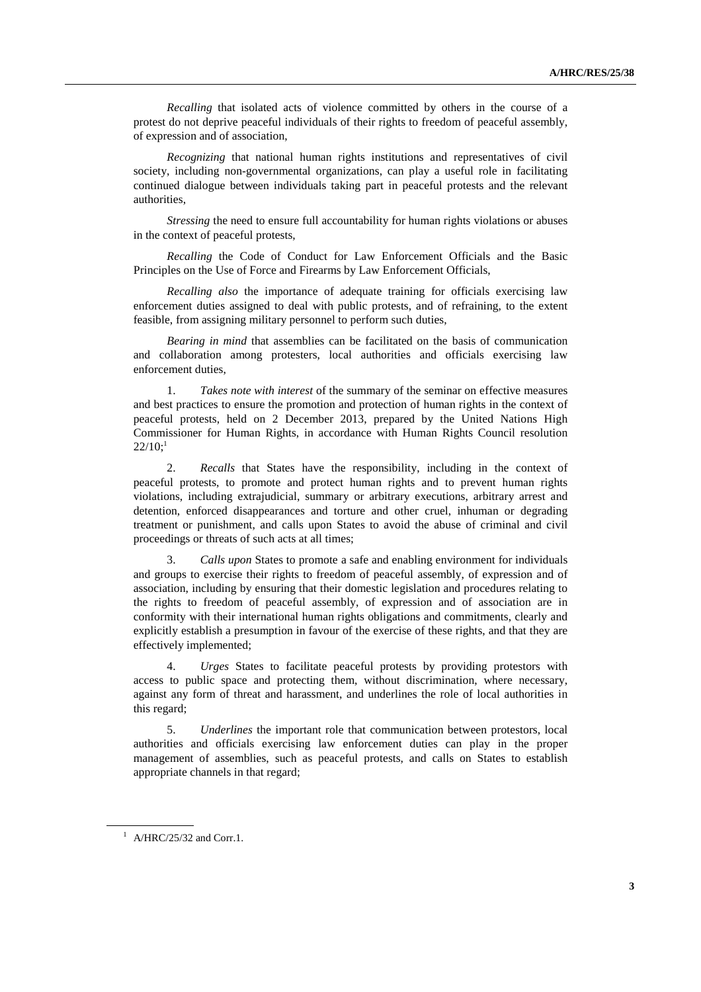*Recalling* that isolated acts of violence committed by others in the course of a protest do not deprive peaceful individuals of their rights to freedom of peaceful assembly, of expression and of association,

*Recognizing* that national human rights institutions and representatives of civil society, including non-governmental organizations, can play a useful role in facilitating continued dialogue between individuals taking part in peaceful protests and the relevant authorities,

*Stressing* the need to ensure full accountability for human rights violations or abuses in the context of peaceful protests,

*Recalling* the Code of Conduct for Law Enforcement Officials and the Basic Principles on the Use of Force and Firearms by Law Enforcement Officials,

*Recalling also* the importance of adequate training for officials exercising law enforcement duties assigned to deal with public protests, and of refraining, to the extent feasible, from assigning military personnel to perform such duties,

*Bearing in mind* that assemblies can be facilitated on the basis of communication and collaboration among protesters, local authorities and officials exercising law enforcement duties,

1. *Takes note with interest* of the summary of the seminar on effective measures and best practices to ensure the promotion and protection of human rights in the context of peaceful protests, held on 2 December 2013, prepared by the United Nations High Commissioner for Human Rights, in accordance with Human Rights Council resolution  $22/10$ ;<sup>1</sup>

2. *Recalls* that States have the responsibility, including in the context of peaceful protests, to promote and protect human rights and to prevent human rights violations, including extrajudicial, summary or arbitrary executions, arbitrary arrest and detention, enforced disappearances and torture and other cruel, inhuman or degrading treatment or punishment, and calls upon States to avoid the abuse of criminal and civil proceedings or threats of such acts at all times;

3. *Calls upon* States to promote a safe and enabling environment for individuals and groups to exercise their rights to freedom of peaceful assembly, of expression and of association, including by ensuring that their domestic legislation and procedures relating to the rights to freedom of peaceful assembly, of expression and of association are in conformity with their international human rights obligations and commitments, clearly and explicitly establish a presumption in favour of the exercise of these rights, and that they are effectively implemented;

4. *Urges* States to facilitate peaceful protests by providing protestors with access to public space and protecting them, without discrimination, where necessary, against any form of threat and harassment, and underlines the role of local authorities in this regard;

5. *Underlines* the important role that communication between protestors, local authorities and officials exercising law enforcement duties can play in the proper management of assemblies, such as peaceful protests, and calls on States to establish appropriate channels in that regard;

 $^1$  A/HRC/25/32 and Corr.1.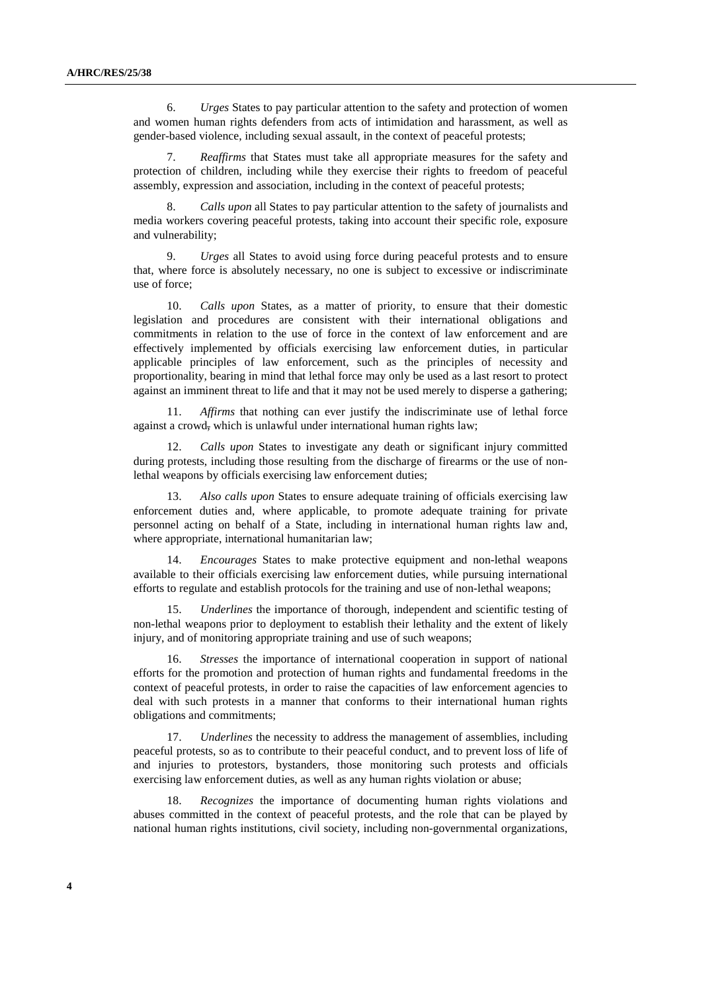6. *Urges* States to pay particular attention to the safety and protection of women and women human rights defenders from acts of intimidation and harassment, as well as gender-based violence, including sexual assault, in the context of peaceful protests;

7. *Reaffirms* that States must take all appropriate measures for the safety and protection of children, including while they exercise their rights to freedom of peaceful assembly, expression and association, including in the context of peaceful protests;

8. *Calls upon* all States to pay particular attention to the safety of journalists and media workers covering peaceful protests, taking into account their specific role, exposure and vulnerability;

9. *Urges* all States to avoid using force during peaceful protests and to ensure that, where force is absolutely necessary, no one is subject to excessive or indiscriminate use of force;

10. *Calls upon* States, as a matter of priority, to ensure that their domestic legislation and procedures are consistent with their international obligations and commitments in relation to the use of force in the context of law enforcement and are effectively implemented by officials exercising law enforcement duties, in particular applicable principles of law enforcement, such as the principles of necessity and proportionality, bearing in mind that lethal force may only be used as a last resort to protect against an imminent threat to life and that it may not be used merely to disperse a gathering;

11. *Affirms* that nothing can ever justify the indiscriminate use of lethal force against a crowd, which is unlawful under international human rights law;

12. *Calls upon* States to investigate any death or significant injury committed during protests, including those resulting from the discharge of firearms or the use of nonlethal weapons by officials exercising law enforcement duties;

13. *Also calls upon* States to ensure adequate training of officials exercising law enforcement duties and, where applicable, to promote adequate training for private personnel acting on behalf of a State, including in international human rights law and, where appropriate, international humanitarian law;

14. *Encourages* States to make protective equipment and non-lethal weapons available to their officials exercising law enforcement duties, while pursuing international efforts to regulate and establish protocols for the training and use of non-lethal weapons;

15. *Underlines* the importance of thorough, independent and scientific testing of non-lethal weapons prior to deployment to establish their lethality and the extent of likely injury, and of monitoring appropriate training and use of such weapons;

16. *Stresses* the importance of international cooperation in support of national efforts for the promotion and protection of human rights and fundamental freedoms in the context of peaceful protests, in order to raise the capacities of law enforcement agencies to deal with such protests in a manner that conforms to their international human rights obligations and commitments;

*Underlines* the necessity to address the management of assemblies, including peaceful protests, so as to contribute to their peaceful conduct, and to prevent loss of life of and injuries to protestors, bystanders, those monitoring such protests and officials exercising law enforcement duties, as well as any human rights violation or abuse;

18. *Recognizes* the importance of documenting human rights violations and abuses committed in the context of peaceful protests, and the role that can be played by national human rights institutions, civil society, including non-governmental organizations,